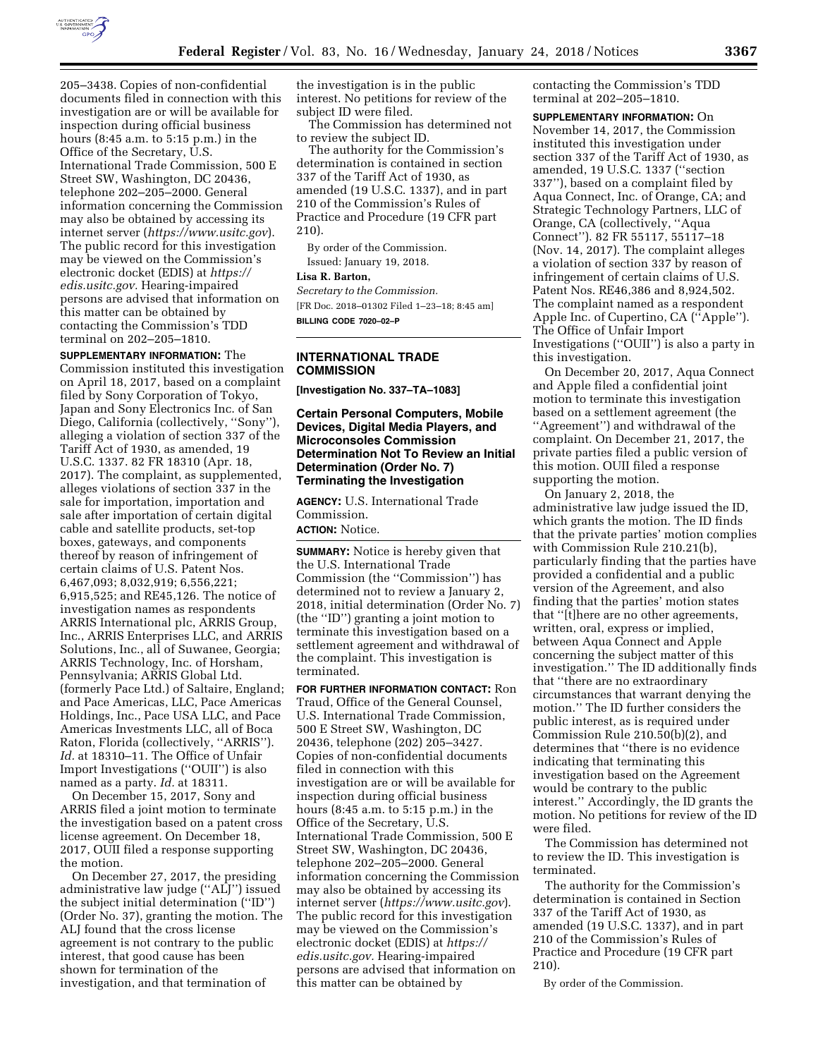

205–3438. Copies of non-confidential documents filed in connection with this investigation are or will be available for inspection during official business hours (8:45 a.m. to 5:15 p.m.) in the Office of the Secretary, U.S. International Trade Commission, 500 E Street SW, Washington, DC 20436, telephone 202–205–2000. General information concerning the Commission may also be obtained by accessing its internet server (*<https://www.usitc.gov>*). The public record for this investigation may be viewed on the Commission's electronic docket (EDIS) at *[https://](https://edis.usitc.gov) [edis.usitc.gov.](https://edis.usitc.gov)* Hearing-impaired persons are advised that information on this matter can be obtained by contacting the Commission's TDD terminal on 202–205–1810.

**SUPPLEMENTARY INFORMATION:** The Commission instituted this investigation on April 18, 2017, based on a complaint filed by Sony Corporation of Tokyo, Japan and Sony Electronics Inc. of San Diego, California (collectively, ''Sony''), alleging a violation of section 337 of the Tariff Act of 1930, as amended, 19 U.S.C. 1337. 82 FR 18310 (Apr. 18, 2017). The complaint, as supplemented, alleges violations of section 337 in the sale for importation, importation and sale after importation of certain digital cable and satellite products, set-top boxes, gateways, and components thereof by reason of infringement of certain claims of U.S. Patent Nos. 6,467,093; 8,032,919; 6,556,221; 6,915,525; and RE45,126. The notice of investigation names as respondents ARRIS International plc, ARRIS Group, Inc., ARRIS Enterprises LLC, and ARRIS Solutions, Inc., all of Suwanee, Georgia; ARRIS Technology, Inc. of Horsham, Pennsylvania; ARRIS Global Ltd. (formerly Pace Ltd.) of Saltaire, England; and Pace Americas, LLC, Pace Americas Holdings, Inc., Pace USA LLC, and Pace Americas Investments LLC, all of Boca Raton, Florida (collectively, ''ARRIS''). *Id.* at 18310–11. The Office of Unfair Import Investigations (''OUII'') is also named as a party. *Id.* at 18311.

On December 15, 2017, Sony and ARRIS filed a joint motion to terminate the investigation based on a patent cross license agreement. On December 18, 2017, OUII filed a response supporting the motion.

On December 27, 2017, the presiding administrative law judge (''ALJ'') issued the subject initial determination (''ID'') (Order No. 37), granting the motion. The ALJ found that the cross license agreement is not contrary to the public interest, that good cause has been shown for termination of the investigation, and that termination of

the investigation is in the public interest. No petitions for review of the subject ID were filed.

The Commission has determined not to review the subject ID.

The authority for the Commission's determination is contained in section 337 of the Tariff Act of 1930, as amended (19 U.S.C. 1337), and in part 210 of the Commission's Rules of Practice and Procedure (19 CFR part 210).

By order of the Commission. Issued: January 19, 2018.

## **Lisa R. Barton,**

*Secretary to the Commission.* 

[FR Doc. 2018–01302 Filed 1–23–18; 8:45 am] **BILLING CODE 7020–02–P** 

#### **INTERNATIONAL TRADE COMMISSION**

**[Investigation No. 337–TA–1083]** 

## **Certain Personal Computers, Mobile Devices, Digital Media Players, and Microconsoles Commission Determination Not To Review an Initial Determination (Order No. 7) Terminating the Investigation**

**AGENCY:** U.S. International Trade Commission. **ACTION:** Notice.

**SUMMARY:** Notice is hereby given that the U.S. International Trade Commission (the ''Commission'') has determined not to review a January 2, 2018, initial determination (Order No. 7) (the ''ID'') granting a joint motion to terminate this investigation based on a settlement agreement and withdrawal of the complaint. This investigation is terminated.

**FOR FURTHER INFORMATION CONTACT:** Ron Traud, Office of the General Counsel, U.S. International Trade Commission, 500 E Street SW, Washington, DC 20436, telephone (202) 205–3427. Copies of non-confidential documents filed in connection with this investigation are or will be available for inspection during official business hours (8:45 a.m. to 5:15 p.m.) in the Office of the Secretary, U.S. International Trade Commission, 500 E Street SW, Washington, DC 20436, telephone 202–205–2000. General information concerning the Commission may also be obtained by accessing its internet server (*<https://www.usitc.gov>*). The public record for this investigation may be viewed on the Commission's electronic docket (EDIS) at *[https://](https://edis.usitc.gov) [edis.usitc.gov.](https://edis.usitc.gov)* Hearing-impaired persons are advised that information on this matter can be obtained by

contacting the Commission's TDD terminal at 202–205–1810.

**SUPPLEMENTARY INFORMATION:** On November 14, 2017, the Commission instituted this investigation under section 337 of the Tariff Act of 1930, as amended, 19 U.S.C. 1337 (''section 337''), based on a complaint filed by Aqua Connect, Inc. of Orange, CA; and Strategic Technology Partners, LLC of Orange, CA (collectively, ''Aqua Connect''). 82 FR 55117, 55117–18 (Nov. 14, 2017). The complaint alleges a violation of section 337 by reason of infringement of certain claims of U.S. Patent Nos. RE46,386 and 8,924,502. The complaint named as a respondent Apple Inc. of Cupertino, CA (''Apple''). The Office of Unfair Import Investigations (''OUII'') is also a party in this investigation.

On December 20, 2017, Aqua Connect and Apple filed a confidential joint motion to terminate this investigation based on a settlement agreement (the ''Agreement'') and withdrawal of the complaint. On December 21, 2017, the private parties filed a public version of this motion. OUII filed a response supporting the motion.

On January 2, 2018, the administrative law judge issued the ID, which grants the motion. The ID finds that the private parties' motion complies with Commission Rule 210.21(b), particularly finding that the parties have provided a confidential and a public version of the Agreement, and also finding that the parties' motion states that ''[t]here are no other agreements, written, oral, express or implied, between Aqua Connect and Apple concerning the subject matter of this investigation.'' The ID additionally finds that ''there are no extraordinary circumstances that warrant denying the motion.'' The ID further considers the public interest, as is required under Commission Rule 210.50(b)(2), and determines that ''there is no evidence indicating that terminating this investigation based on the Agreement would be contrary to the public interest.'' Accordingly, the ID grants the motion. No petitions for review of the ID were filed.

The Commission has determined not to review the ID. This investigation is terminated.

The authority for the Commission's determination is contained in Section 337 of the Tariff Act of 1930, as amended (19 U.S.C. 1337), and in part 210 of the Commission's Rules of Practice and Procedure (19 CFR part 210).

By order of the Commission.